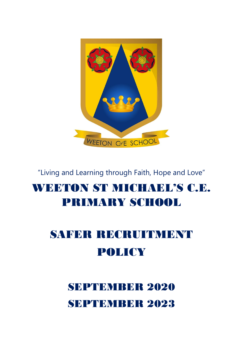# WEETON COF SCHOOL

"Living and Learning through Faith, Hope and Love"

## WEETON ST MICHAEL'S C.E. PRIMARY SCHOOL

# SAFER RECRUITMENT POLICY

# SEPTEMBER 2020 SEPTEMBER 2023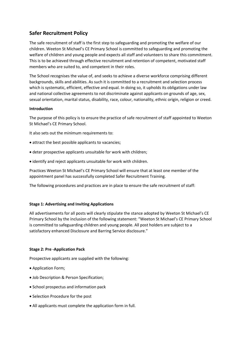### **Safer Recruitment Policy**

The safe recruitment of staff is the first step to safeguarding and promoting the welfare of our children. Weeton St Michael's CE Primary School is committed to safeguarding and promoting the welfare of children and young people and expects all staff and volunteers to share this commitment. This is to be achieved through effective recruitment and retention of competent, motivated staff members who are suited to, and competent in their roles.

The School recognises the value of, and seeks to achieve a diverse workforce comprising different backgrounds, skills and abilities. As such it is committed to a recruitment and selection process which is systematic, efficient, effective and equal. In doing so, it upholds its obligations under law and national collective agreements to not discriminate against applicants on grounds of age, sex, sexual orientation, marital status, disability, race, colour, nationality, ethnic origin, religion or creed.

### **Introduction**

The purpose of this policy is to ensure the practice of safe recruitment of staff appointed to Weeton St Michael's CE Primary School.

It also sets out the minimum requirements to:

- attract the best possible applicants to vacancies;
- deter prospective applicants unsuitable for work with children;
- identify and reject applicants unsuitable for work with children.

Practices Weeton St Michael's CE Primary School will ensure that at least one member of the appointment panel has successfully completed Safer Recruitment Training.

The following procedures and practices are in place to ensure the safe recruitment of staff:

### **Stage 1: Advertising and Inviting Applications**

All advertisements for all posts will clearly stipulate the stance adopted by Weeton St Michael's CE Primary School by the inclusion of the following statement: "Weeton St Michael's CE Primary School is committed to safeguarding children and young people. All post holders are subject to a satisfactory enhanced Disclosure and Barring Service disclosure."

### **Stage 2: Pre -Application Pack**

Prospective applicants are supplied with the following:

- Application Form;
- Job Description & Person Specification;
- School prospectus and information pack
- Selection Procedure for the post
- All applicants must complete the application form in full.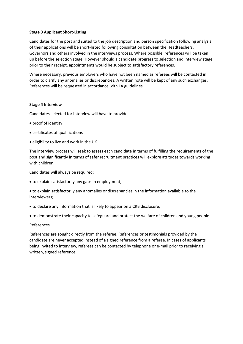### **Stage 3 Applicant Short-Listing**

Candidates for the post and suited to the job description and person specification following analysis of their applications will be short-listed following consultation between the Headteachers, Governors and others involved in the interviews process. Where possible, references will be taken up before the selection stage. However should a candidate progress to selection and interview stage prior to their receipt, appointments would be subject to satisfactory references.

Where necessary, previous employers who have not been named as referees will be contacted in order to clarify any anomalies or discrepancies. A written note will be kept of any such exchanges. References will be requested in accordance with LA guidelines.

### **Stage 4 Interview**

Candidates selected for interview will have to provide:

- proof of identity
- certificates of qualifications
- eligibility to live and work in the UK

The interview process will seek to assess each candidate in terms of fulfilling the requirements of the post and significantly in terms of safer recruitment practices will explore attitudes towards working with children.

Candidates will always be required:

- to explain satisfactorily any gaps in employment;
- to explain satisfactorily any anomalies or discrepancies in the information available to the interviewers;
- to declare any information that is likely to appear on a CRB disclosure;
- to demonstrate their capacity to safeguard and protect the welfare of children and young people.

### References

References are sought directly from the referee. References or testimonials provided by the candidate are never accepted instead of a signed reference from a referee. In cases of applicants being invited to interview, referees can be contacted by telephone or e-mail prior to receiving a written, signed reference.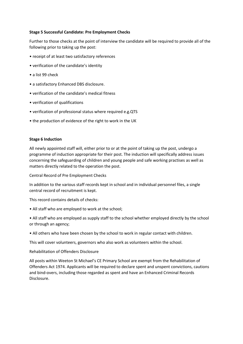### **Stage 5 Successful Candidate: Pre Employment Checks**

Further to those checks at the point of interview the candidate will be required to provide all of the following prior to taking up the post:

- receipt of at least two satisfactory references
- verification of the candidate's identity
- a list 99 check
- a satisfactory Enhanced DBS disclosure.
- verification of the candidate's medical fitness
- verification of qualifications
- verification of professional status where required e.g.QTS
- the production of evidence of the right to work in the UK

### **Stage 6 Induction**

All newly appointed staff will, either prior to or at the point of taking up the post, undergo a programme of induction appropriate for their post. The induction will specifically address issues concerning the safeguarding of children and young people and safe working practises as well as matters directly related to the operation the post.

Central Record of Pre Employment Checks

In addition to the various staff records kept in school and in individual personnel files, a single central record of recruitment is kept.

This record contains details of checks:

- All staff who are employed to work at the school;
- All staff who are employed as supply staff to the school whether employed directly by the school or through an agency;
- All others who have been chosen by the school to work in regular contact with children.

This will cover volunteers, governors who also work as volunteers within the school.

### Rehabilitation of Offenders Disclosure

All posts within Weeton St Michael's CE Primary School are exempt from the Rehabilitation of Offenders Act 1974. Applicants will be required to declare spent and unspent convictions, cautions and bind-overs, including those regarded as spent and have an Enhanced Criminal Records Disclosure.